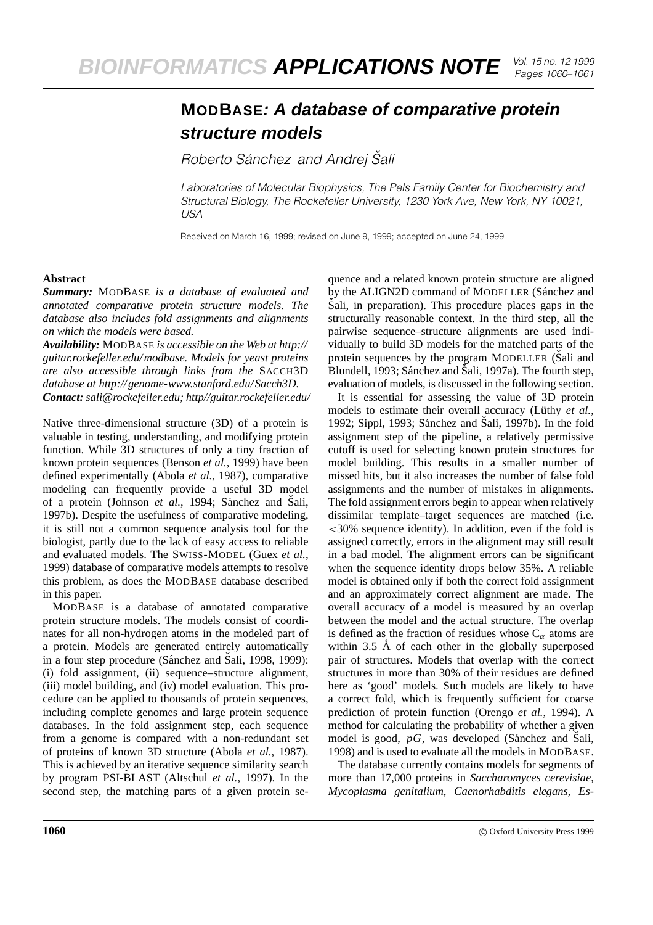## **MODBASE: A database of comparative protein structure models**

*Roberto Sanchez and Andrej ´ Sali ˇ*

*Laboratories of Molecular Biophysics, The Pels Family Center for Biochemistry and Structural Biology, The Rockefeller University, 1230 York Ave, New York, NY 10021, USA*

Received on March 16, 1999; revised on June 9, 1999; accepted on June 24, 1999

## **Abstract**

*Summary:* MODBASE *is a database of evaluated and annotated comparative protein structure models. The database also includes fold assignments and alignments on which the models were based.*

*Availability:* MODBASE *is accessible on the Web at http:// guitar.rockefeller.edu/modbase. Models for yeast proteins are also accessible through links from the* SACCH3D *database at http://genome-www.stanford.edu/Sacch3D. Contact:sali@rockefeller.edu; http//guitar.rockefeller.edu/*

Native three-dimensional structure (3D) of a protein is valuable in testing, understanding, and modifying protein function. While 3D structures of only a tiny fraction of known protein sequences (Benson *et al.*, 1999) have been defined experimentally (Abola *et al.*, 1987), comparative modeling can frequently provide a useful 3D model of a protein (Johnson *et al.*, 1994; Sánchez and Šali, 1997b). Despite the usefulness of comparative modeling, it is still not a common sequence analysis tool for the biologist, partly due to the lack of easy access to reliable and evaluated models. The SWISS-MODEL (Guex *et al.*, 1999) database of comparative models attempts to resolve this problem, as does the MODBASE database described in this paper.

MODBASE is a database of annotated comparative protein structure models. The models consist of coordinates for all non-hydrogen atoms in the modeled part of a protein. Models are generated entirely automatically in a four step procedure (Sánchez and Šali, 1998, 1999): (i) fold assignment, (ii) sequence–structure alignment, (iii) model building, and (iv) model evaluation. This procedure can be applied to thousands of protein sequences, including complete genomes and large protein sequence databases. In the fold assignment step, each sequence from a genome is compared with a non-redundant set of proteins of known 3D structure (Abola *et al.*, 1987). This is achieved by an iterative sequence similarity search by program PSI-BLAST (Altschul *et al.*, 1997). In the second step, the matching parts of a given protein sequence and a related known protein structure are aligned by the ALIGN2D command of MODELLER (Sánchez and Šali, in preparation). This procedure places gaps in the structurally reasonable context. In the third step, all the pairwise sequence–structure alignments are used individually to build 3D models for the matched parts of the protein sequences by the program MODELLER (Sali and Blundell, 1993; Sánchez and Šali, 1997a). The fourth step, evaluation of models, is discussed in the following section.

It is essential for assessing the value of 3D protein models to estimate their overall accuracy (Lüthy et al., 1992; Sippl, 1993; Sánchez and Šali, 1997b). In the fold assignment step of the pipeline, a relatively permissive cutoff is used for selecting known protein structures for model building. This results in a smaller number of missed hits, but it also increases the number of false fold assignments and the number of mistakes in alignments. The fold assignment errors begin to appear when relatively dissimilar template–target sequences are matched (i.e. <30% sequence identity). In addition, even if the fold is assigned correctly, errors in the alignment may still result in a bad model. The alignment errors can be significant when the sequence identity drops below 35%. A reliable model is obtained only if both the correct fold assignment and an approximately correct alignment are made. The overall accuracy of a model is measured by an overlap between the model and the actual structure. The overlap is defined as the fraction of residues whose  $C_{\alpha}$  atoms are within 3.5  $\AA$  of each other in the globally superposed pair of structures. Models that overlap with the correct structures in more than 30% of their residues are defined here as 'good' models. Such models are likely to have a correct fold, which is frequently sufficient for coarse prediction of protein function (Orengo *et al.*, 1994). A method for calculating the probability of whether a given model is good,  $pG$ , was developed (Sánchez and Šali, 1998) and is used to evaluate all the models in MODBASE.

The database currently contains models for segments of more than 17,000 proteins in *Saccharomyces cerevisiae*, *Mycoplasma genitalium*, *Caenorhabditis elegans*, *Es-*